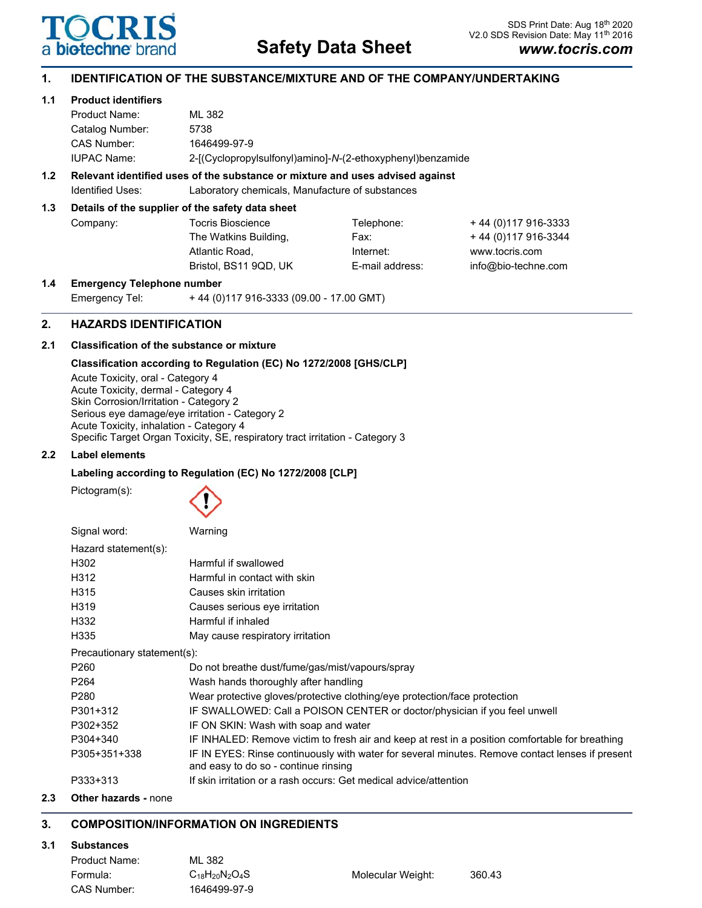

# **Safety Data Sheet**

# **1. IDENTIFICATION OF THE SUBSTANCE/MIXTURE AND OF THE COMPANY/UNDERTAKING**

## **1.1 Product identifiers**

| Product Name:                                                                 | ML 382                                                     |  |  |  |
|-------------------------------------------------------------------------------|------------------------------------------------------------|--|--|--|
| Catalog Number:                                                               | 5738                                                       |  |  |  |
| CAS Number:                                                                   | 1646499-97-9                                               |  |  |  |
| <b>IUPAC Name:</b>                                                            | 2-[(Cyclopropylsulfonyl)amino]-N-(2-ethoxyphenyl)benzamide |  |  |  |
| Relevant identified uses of the substance or mixture and uses advised against |                                                            |  |  |  |

## **1.2 Relevant identified uses of the substance or mixture and uses advised against** Identified Uses: Laboratory chemicals, Manufacture of substances

## **1.3 Details of the supplier of the safety data sheet**

| Company: | <b>Tocris Bioscience</b> |
|----------|--------------------------|
|          | The Watkins Build        |
|          | Atlantic Road,           |
|          | Bristol, BS11 9QD        |
|          |                          |

Telephone: + 44 (0)117 916-3333  $\text{diag}, \text{ }$  Fax:  $\text{ }$  + 44 (0)117 916-3344 Internet: www.tocris.com D, UK E-mail address: info@bio-techne.com

**1.4 Emergency Telephone number** Emergency Tel: + 44 (0)117 916-3333 (09.00 - 17.00 GMT)

# **2. HAZARDS IDENTIFICATION**

# **2.1 Classification of the substance or mixture**

# **Classification according to Regulation (EC) No 1272/2008 [GHS/CLP]**

Acute Toxicity, oral - Category 4 Acute Toxicity, dermal - Category 4 Skin Corrosion/Irritation - Category 2 Serious eye damage/eye irritation - Category 2 Acute Toxicity, inhalation - Category 4 Specific Target Organ Toxicity, SE, respiratory tract irritation - Category 3

## **2.2 Label elements**

# **Labeling according to Regulation (EC) No 1272/2008 [CLP]**

Pictogram(s):



| Signal word:                | Warning                                                                                                                                 |  |
|-----------------------------|-----------------------------------------------------------------------------------------------------------------------------------------|--|
| Hazard statement(s):        |                                                                                                                                         |  |
| H302                        | Harmful if swallowed                                                                                                                    |  |
| H312                        | Harmful in contact with skin                                                                                                            |  |
| H315                        | Causes skin irritation                                                                                                                  |  |
| H319                        | Causes serious eye irritation                                                                                                           |  |
| H332                        | Harmful if inhaled                                                                                                                      |  |
| H335                        | May cause respiratory irritation                                                                                                        |  |
| Precautionary statement(s): |                                                                                                                                         |  |
| P <sub>260</sub>            | Do not breathe dust/fume/gas/mist/vapours/spray                                                                                         |  |
| P <sub>264</sub>            | Wash hands thoroughly after handling                                                                                                    |  |
| P <sub>280</sub>            | Wear protective gloves/protective clothing/eye protection/face protection                                                               |  |
| P301+312                    | IF SWALLOWED: Call a POISON CENTER or doctor/physician if you feel unwell                                                               |  |
| P302+352                    | IF ON SKIN: Wash with soap and water                                                                                                    |  |
| P304+340                    | IF INHALED: Remove victim to fresh air and keep at rest in a position comfortable for breathing                                         |  |
| P305+351+338                | IF IN EYES: Rinse continuously with water for several minutes. Remove contact lenses if present<br>and easy to do so - continue rinsing |  |
| P333+313                    | If skin irritation or a rash occurs: Get medical advice/attention                                                                       |  |

**2.3 Other hazards -** none

# **3. COMPOSITION/INFORMATION ON INGREDIENTS**

## **3.1 Substances**

| Product Name: | ML 382                |                   |        |
|---------------|-----------------------|-------------------|--------|
| Formula:      | $C_{18}H_{20}N_2O_4S$ | Molecular Weight: | 360.43 |
| CAS Number:   | 1646499-97-9          |                   |        |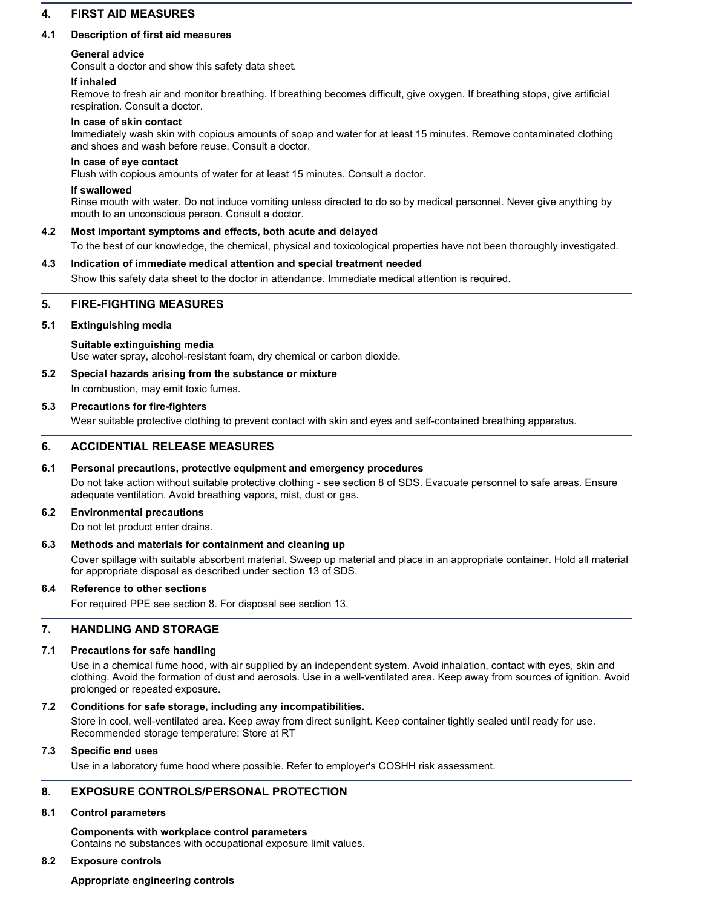# **4. FIRST AID MEASURES**

## **4.1 Description of first aid measures**

## **General advice**

Consult a doctor and show this safety data sheet.

## **If inhaled**

Remove to fresh air and monitor breathing. If breathing becomes difficult, give oxygen. If breathing stops, give artificial respiration. Consult a doctor.

## **In case of skin contact**

Immediately wash skin with copious amounts of soap and water for at least 15 minutes. Remove contaminated clothing and shoes and wash before reuse. Consult a doctor.

#### **In case of eye contact**

Flush with copious amounts of water for at least 15 minutes. Consult a doctor.

#### **If swallowed**

Rinse mouth with water. Do not induce vomiting unless directed to do so by medical personnel. Never give anything by mouth to an unconscious person. Consult a doctor.

#### **4.2 Most important symptoms and effects, both acute and delayed**

To the best of our knowledge, the chemical, physical and toxicological properties have not been thoroughly investigated.

#### **4.3 Indication of immediate medical attention and special treatment needed**

Show this safety data sheet to the doctor in attendance. Immediate medical attention is required.

## **5. FIRE-FIGHTING MEASURES**

#### **5.1 Extinguishing media**

#### **Suitable extinguishing media**

Use water spray, alcohol-resistant foam, dry chemical or carbon dioxide.

## **5.2 Special hazards arising from the substance or mixture**

In combustion, may emit toxic fumes.

#### **5.3 Precautions for fire-fighters**

Wear suitable protective clothing to prevent contact with skin and eyes and self-contained breathing apparatus.

## **6. ACCIDENTIAL RELEASE MEASURES**

## **6.1 Personal precautions, protective equipment and emergency procedures**

Do not take action without suitable protective clothing - see section 8 of SDS. Evacuate personnel to safe areas. Ensure adequate ventilation. Avoid breathing vapors, mist, dust or gas.

## **6.2 Environmental precautions**

Do not let product enter drains.

## **6.3 Methods and materials for containment and cleaning up**

Cover spillage with suitable absorbent material. Sweep up material and place in an appropriate container. Hold all material for appropriate disposal as described under section 13 of SDS.

## **6.4 Reference to other sections**

For required PPE see section 8. For disposal see section 13.

# **7. HANDLING AND STORAGE**

## **7.1 Precautions for safe handling**

Use in a chemical fume hood, with air supplied by an independent system. Avoid inhalation, contact with eyes, skin and clothing. Avoid the formation of dust and aerosols. Use in a well-ventilated area. Keep away from sources of ignition. Avoid prolonged or repeated exposure.

## **7.2 Conditions for safe storage, including any incompatibilities.**

Store in cool, well-ventilated area. Keep away from direct sunlight. Keep container tightly sealed until ready for use. Recommended storage temperature: Store at RT

## **7.3 Specific end uses**

Use in a laboratory fume hood where possible. Refer to employer's COSHH risk assessment.

# **8. EXPOSURE CONTROLS/PERSONAL PROTECTION**

# **8.1 Control parameters**

**Components with workplace control parameters** Contains no substances with occupational exposure limit values.

# **8.2 Exposure controls**

**Appropriate engineering controls**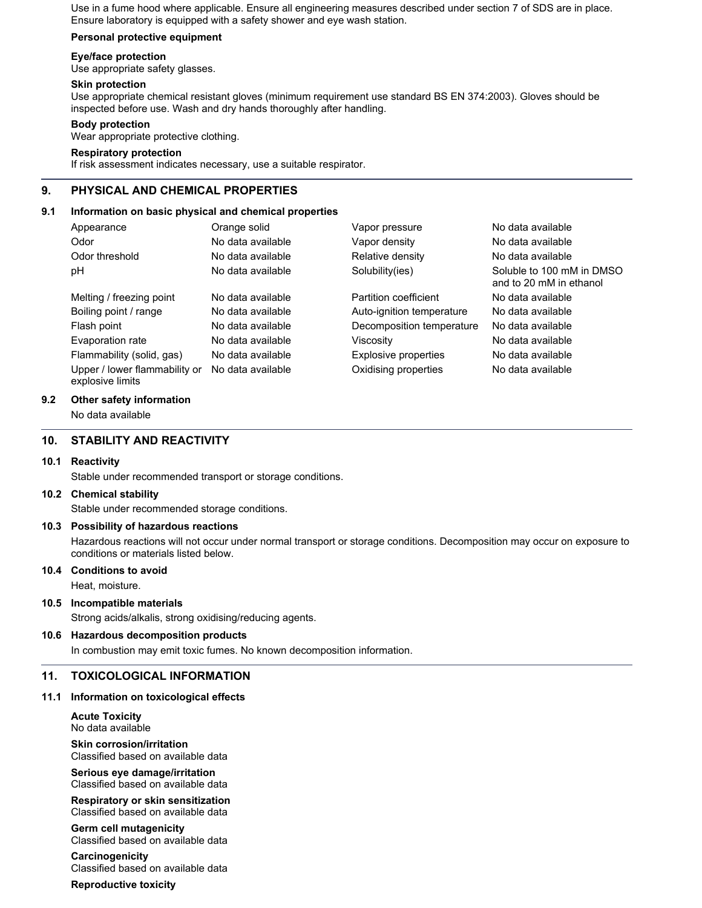Use in a fume hood where applicable. Ensure all engineering measures described under section 7 of SDS are in place. Ensure laboratory is equipped with a safety shower and eye wash station.

## **Personal protective equipment**

#### **Eye/face protection**

Use appropriate safety glasses.

#### **Skin protection**

Use appropriate chemical resistant gloves (minimum requirement use standard BS EN 374:2003). Gloves should be inspected before use. Wash and dry hands thoroughly after handling.

## **Body protection**

Wear appropriate protective clothing.

#### **Respiratory protection**

If risk assessment indicates necessary, use a suitable respirator.

## **9. PHYSICAL AND CHEMICAL PROPERTIES**

#### **9.1 Information on basic physical and chemical properties**

| Appearance                                        | Orange solid      | Vapor pressure            | No data available                                    |
|---------------------------------------------------|-------------------|---------------------------|------------------------------------------------------|
| Odor                                              | No data available | Vapor density             | No data available                                    |
| Odor threshold                                    | No data available | Relative density          | No data available                                    |
| рH                                                | No data available | Solubility(ies)           | Soluble to 100 mM in DMSO<br>and to 20 mM in ethanol |
| Melting / freezing point                          | No data available | Partition coefficient     | No data available                                    |
| Boiling point / range                             | No data available | Auto-ignition temperature | No data available                                    |
| Flash point                                       | No data available | Decomposition temperature | No data available                                    |
| Evaporation rate                                  | No data available | Viscositv                 | No data available                                    |
| Flammability (solid, gas)                         | No data available | Explosive properties      | No data available                                    |
| Upper / lower flammability or<br>explosive limits | No data available | Oxidising properties      | No data available                                    |

#### **9.2 Other safety information**

No data available

#### **10. STABILITY AND REACTIVITY**

#### **10.1 Reactivity**

Stable under recommended transport or storage conditions.

#### **10.2 Chemical stability**

Stable under recommended storage conditions.

#### **10.3 Possibility of hazardous reactions**

Hazardous reactions will not occur under normal transport or storage conditions. Decomposition may occur on exposure to conditions or materials listed below.

#### **10.4 Conditions to avoid**

Heat, moisture.

#### **10.5 Incompatible materials**

Strong acids/alkalis, strong oxidising/reducing agents.

## **10.6 Hazardous decomposition products**

In combustion may emit toxic fumes. No known decomposition information.

## **11. TOXICOLOGICAL INFORMATION**

#### **11.1 Information on toxicological effects**

**Acute Toxicity** No data available

**Skin corrosion/irritation** Classified based on available data

#### **Serious eye damage/irritation** Classified based on available data

**Respiratory or skin sensitization** Classified based on available data

**Germ cell mutagenicity** Classified based on available data

**Carcinogenicity** Classified based on available data

**Reproductive toxicity**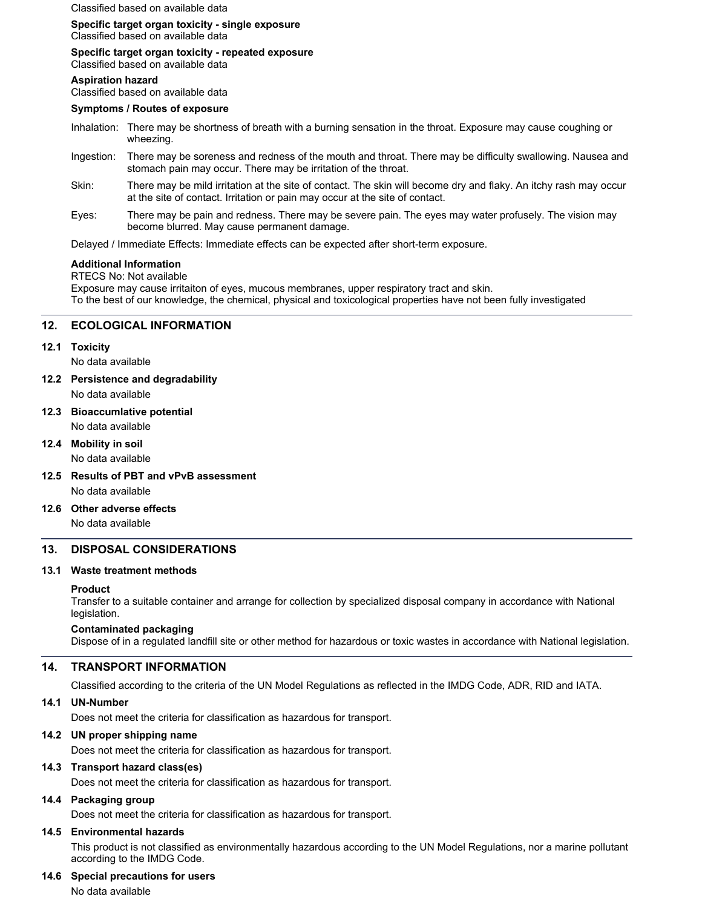Classified based on available data

#### **Specific target organ toxicity - single exposure** Classified based on available data

## **Specific target organ toxicity - repeated exposure**

Classified based on available data

#### **Aspiration hazard**

Classified based on available data

## **Symptoms / Routes of exposure**

- Inhalation: There may be shortness of breath with a burning sensation in the throat. Exposure may cause coughing or wheezing.
- Ingestion: There may be soreness and redness of the mouth and throat. There may be difficulty swallowing. Nausea and stomach pain may occur. There may be irritation of the throat.
- Skin: There may be mild irritation at the site of contact. The skin will become dry and flaky. An itchy rash may occur at the site of contact. Irritation or pain may occur at the site of contact.
- Eyes: There may be pain and redness. There may be severe pain. The eyes may water profusely. The vision may become blurred. May cause permanent damage.

Delayed / Immediate Effects: Immediate effects can be expected after short-term exposure.

## **Additional Information**

RTECS No: Not available Exposure may cause irritaiton of eyes, mucous membranes, upper respiratory tract and skin. To the best of our knowledge, the chemical, physical and toxicological properties have not been fully investigated

## **12. ECOLOGICAL INFORMATION**

#### **12.1 Toxicity**

No data available

- **12.2 Persistence and degradability**
	- No data available
- **12.3 Bioaccumlative potential** No data available
- **12.4 Mobility in soil**

No data available

- **12.5 Results of PBT and vPvB assessment** No data available
- **12.6 Other adverse effects** No data available

# **13. DISPOSAL CONSIDERATIONS**

## **13.1 Waste treatment methods**

## **Product**

Transfer to a suitable container and arrange for collection by specialized disposal company in accordance with National legislation.

## **Contaminated packaging**

Dispose of in a regulated landfill site or other method for hazardous or toxic wastes in accordance with National legislation.

## **14. TRANSPORT INFORMATION**

Classified according to the criteria of the UN Model Regulations as reflected in the IMDG Code, ADR, RID and IATA.

## **14.1 UN-Number**

Does not meet the criteria for classification as hazardous for transport.

## **14.2 UN proper shipping name**

Does not meet the criteria for classification as hazardous for transport.

## **14.3 Transport hazard class(es)**

Does not meet the criteria for classification as hazardous for transport.

## **14.4 Packaging group**

Does not meet the criteria for classification as hazardous for transport.

## **14.5 Environmental hazards**

This product is not classified as environmentally hazardous according to the UN Model Regulations, nor a marine pollutant according to the IMDG Code.

## **14.6 Special precautions for users**

No data available